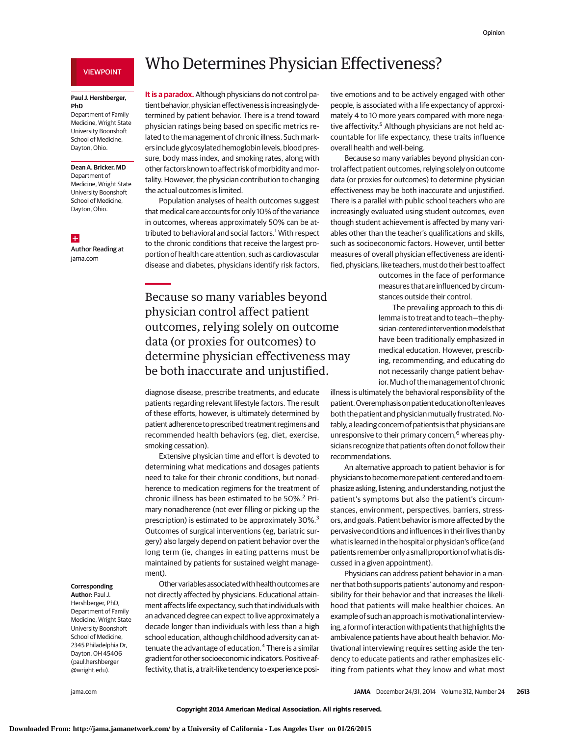## VIEWPOINT

### **Paul J. Hershberger, PhD**

Department of Family Medicine, Wright State University Boonshoft School of Medicine, Dayton, Ohio.

# **Dean A. Bricker, MD**

Department of Medicine, Wright State University Boonshoft School of Medicine, Dayton, Ohio.

### $+$

Author Reading at jama.com

# Who Determines Physician Effectiveness?

**It is a paradox.** Although physicians do not control patient behavior, physicianeffectiveness is increasingly determined by patient behavior. There is a trend toward physician ratings being based on specific metrics related to the management of chronic illness. Such markers include glycosylated hemoglobin levels, blood pressure, body mass index, and smoking rates, along with other factors known to affect risk of morbidity and mortality. However, the physician contribution to changing the actual outcomes is limited.

Population analyses of health outcomes suggest that medical care accounts for only 10% of the variance in outcomes, whereas approximately 50% can be attributed to behavioral and social factors.<sup>1</sup> With respect to the chronic conditions that receive the largest proportion of health care attention, such as cardiovascular disease and diabetes, physicians identify risk factors,

Because so many variables beyond physician control affect patient outcomes, relying solely on outcome data (or proxies for outcomes) to determine physician effectiveness may be both inaccurate and unjustified.

diagnose disease, prescribe treatments, and educate patients regarding relevant lifestyle factors. The result of these efforts, however, is ultimately determined by patient adherence to prescribed treatment regimens and recommended health behaviors (eg, diet, exercise, smoking cessation).

Extensive physician time and effort is devoted to determining what medications and dosages patients need to take for their chronic conditions, but nonadherence to medication regimens for the treatment of chronic illness has been estimated to be 50%.<sup>2</sup> Primary nonadherence (not ever filling or picking up the prescription) is estimated to be approximately 30%.<sup>3</sup> Outcomes of surgical interventions (eg, bariatric surgery) also largely depend on patient behavior over the long term (ie, changes in eating patterns must be maintained by patients for sustained weight management).

Other variables associated with health outcomes are not directly affected by physicians. Educational attainment affects life expectancy, such that individuals with an advanced degree can expect to live approximately a decade longer than individuals with less than a high school education, although childhood adversity can attenuate the advantage of education.<sup>4</sup> There is a similar gradient for other socioeconomic indicators. Positive affectivity, that is, a trait-like tendency to experience posi-

#### **Corresponding**

**Author:** Paul J. Hershberger, PhD, Department of Family Medicine, Wright State University Boonshoft School of Medicine, 2345 Philadelphia Dr, Dayton, OH 45406 (paul.hershberger @wright.edu).

tive emotions and to be actively engaged with other people, is associated with a life expectancy of approximately 4 to 10 more years compared with more negative affectivity.<sup>5</sup> Although physicians are not held accountable for life expectancy, these traits influence overall health and well-being.

Because so many variables beyond physician control affect patient outcomes, relying solely on outcome data (or proxies for outcomes) to determine physician effectiveness may be both inaccurate and unjustified. There is a parallel with public school teachers who are increasingly evaluated using student outcomes, even though student achievement is affected by many variables other than the teacher's qualifications and skills, such as socioeconomic factors. However, until better measures of overall physician effectiveness are identified, physicians, like teachers, must do their best to affect

> outcomes in the face of performance measures that are influenced by circumstances outside their control.

> The prevailing approach to this dilemma is to treat and to teach—the physician-centered interventionmodels that have been traditionally emphasized in medical education. However, prescribing, recommending, and educating do not necessarily change patient behavior. Much of the management of chronic

illness is ultimately the behavioral responsibility of the patient. Overemphasis on patient education often leaves both the patient and physician mutually frustrated. Notably, a leading concern of patients is that physicians are unresponsive to their primary concern, $<sup>6</sup>$  whereas phy-</sup> sicians recognize that patients often do not follow their recommendations.

An alternative approach to patient behavior is for physicians to becomemore patient-centered and to emphasize asking, listening, and understanding, not just the patient's symptoms but also the patient's circumstances, environment, perspectives, barriers, stressors, and goals. Patient behavior is more affected by the pervasive conditions and influences in their lives than by what is learned in the hospital or physician's office (and patients remember only a small proportion of what is discussed in a given appointment).

Physicians can address patient behavior in a manner that both supports patients' autonomy and responsibility for their behavior and that increases the likelihood that patients will make healthier choices. An example of such an approach is motivational interviewing, a form of interaction with patients that highlights the ambivalence patients have about health behavior. Motivational interviewing requires setting aside the tendency to educate patients and rather emphasizes eliciting from patients what they know and what most